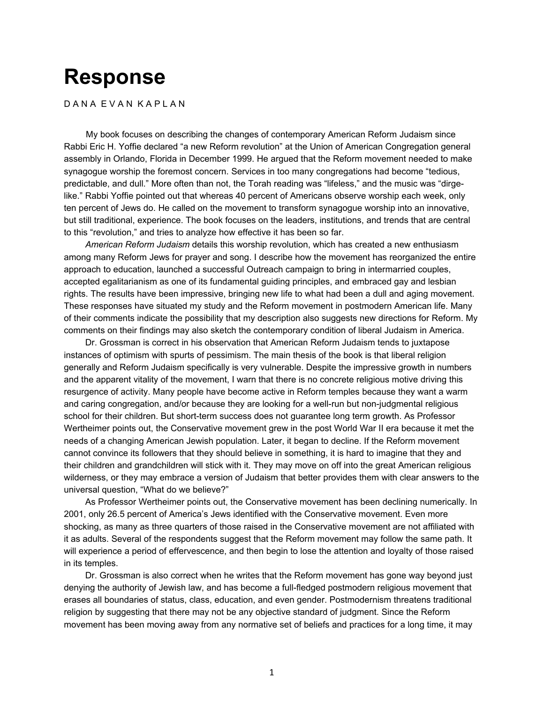## **Response**

## DANA EVAN KAPLAN

My book focuses on describing the changes of contemporary American Reform Judaism since Rabbi Eric H. Yoffie declared "a new Reform revolution" at the Union of American Congregation general assembly in Orlando, Florida in December 1999. He argued that the Reform movement needed to make synagogue worship the foremost concern. Services in too many congregations had become "tedious, predictable, and dull." More often than not, the Torah reading was "lifeless," and the music was "dirgelike." Rabbi Yoffie pointed out that whereas 40 percent of Americans observe worship each week, only ten percent of Jews do. He called on the movement to transform synagogue worship into an innovative, but still traditional, experience. The book focuses on the leaders, institutions, and trends that are central to this "revolution," and tries to analyze how effective it has been so far.

*American Reform Judaism* details this worship revolution, which has created a new enthusiasm among many Reform Jews for prayer and song. I describe how the movement has reorganized the entire approach to education, launched a successful Outreach campaign to bring in intermarried couples, accepted egalitarianism as one of its fundamental guiding principles, and embraced gay and lesbian rights. The results have been impressive, bringing new life to what had been a dull and aging movement. These responses have situated my study and the Reform movement in postmodern American life. Many of their comments indicate the possibility that my description also suggests new directions for Reform. My comments on their findings may also sketch the contemporary condition of liberal Judaism in America.

Dr. Grossman is correct in his observation that American Reform Judaism tends to juxtapose instances of optimism with spurts of pessimism. The main thesis of the book is that liberal religion generally and Reform Judaism specifically is very vulnerable. Despite the impressive growth in numbers and the apparent vitality of the movement, I warn that there is no concrete religious motive driving this resurgence of activity. Many people have become active in Reform temples because they want a warm and caring congregation, and/or because they are looking for a well-run but non-judgmental religious school for their children. But short-term success does not guarantee long term growth. As Professor Wertheimer points out, the Conservative movement grew in the post World War II era because it met the needs of a changing American Jewish population. Later, it began to decline. If the Reform movement cannot convince its followers that they should believe in something, it is hard to imagine that they and their children and grandchildren will stick with it. They may move on off into the great American religious wilderness, or they may embrace a version of Judaism that better provides them with clear answers to the universal question, "What do we believe?"

As Professor Wertheimer points out, the Conservative movement has been declining numerically. In 2001, only 26.5 percent of America's Jews identified with the Conservative movement. Even more shocking, as many as three quarters of those raised in the Conservative movement are not affiliated with it as adults. Several of the respondents suggest that the Reform movement may follow the same path. It will experience a period of effervescence, and then begin to lose the attention and loyalty of those raised in its temples.

Dr. Grossman is also correct when he writes that the Reform movement has gone way beyond just denying the authority of Jewish law, and has become a full-fledged postmodern religious movement that erases all boundaries of status, class, education, and even gender. Postmodernism threatens traditional religion by suggesting that there may not be any objective standard of judgment. Since the Reform movement has been moving away from any normative set of beliefs and practices for a long time, it may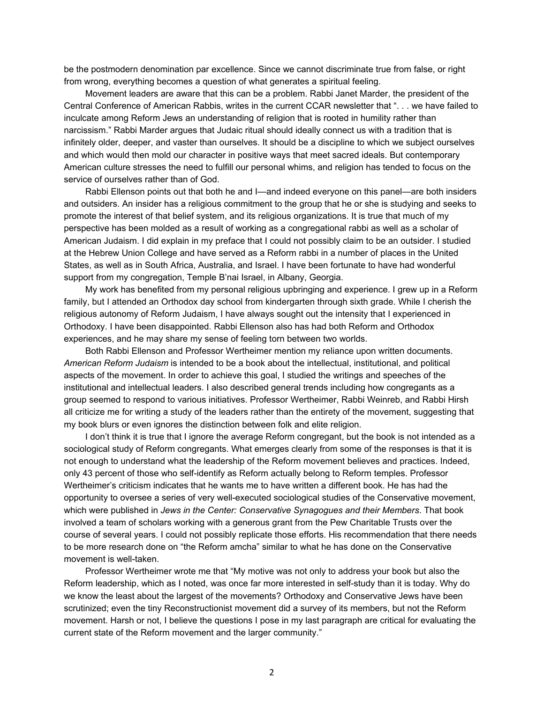be the postmodern denomination par excellence. Since we cannot discriminate true from false, or right from wrong, everything becomes a question of what generates a spiritual feeling.

Movement leaders are aware that this can be a problem. Rabbi Janet Marder, the president of the Central Conference of American Rabbis, writes in the current CCAR newsletter that ". . . we have failed to inculcate among Reform Jews an understanding of religion that is rooted in humility rather than narcissism." Rabbi Marder argues that Judaic ritual should ideally connect us with a tradition that is infinitely older, deeper, and vaster than ourselves. It should be a discipline to which we subject ourselves and which would then mold our character in positive ways that meet sacred ideals. But contemporary American culture stresses the need to fulfill our personal whims, and religion has tended to focus on the service of ourselves rather than of God.

Rabbi Ellenson points out that both he and I—and indeed everyone on this panel—are both insiders and outsiders. An insider has a religious commitment to the group that he or she is studying and seeks to promote the interest of that belief system, and its religious organizations. It is true that much of my perspective has been molded as a result of working as a congregational rabbi as well as a scholar of American Judaism. I did explain in my preface that I could not possibly claim to be an outsider. I studied at the Hebrew Union College and have served as a Reform rabbi in a number of places in the United States, as well as in South Africa, Australia, and Israel. I have been fortunate to have had wonderful support from my congregation, Temple B'nai Israel, in Albany, Georgia.

My work has benefited from my personal religious upbringing and experience. I grew up in a Reform family, but I attended an Orthodox day school from kindergarten through sixth grade. While I cherish the religious autonomy of Reform Judaism, I have always sought out the intensity that I experienced in Orthodoxy. I have been disappointed. Rabbi Ellenson also has had both Reform and Orthodox experiences, and he may share my sense of feeling torn between two worlds.

Both Rabbi Ellenson and Professor Wertheimer mention my reliance upon written documents. *American Reform Judaism* is intended to be a book about the intellectual, institutional, and political aspects of the movement. In order to achieve this goal, I studied the writings and speeches of the institutional and intellectual leaders. I also described general trends including how congregants as a group seemed to respond to various initiatives. Professor Wertheimer, Rabbi Weinreb, and Rabbi Hirsh all criticize me for writing a study of the leaders rather than the entirety of the movement, suggesting that my book blurs or even ignores the distinction between folk and elite religion.

I don't think it is true that I ignore the average Reform congregant, but the book is not intended as a sociological study of Reform congregants. What emerges clearly from some of the responses is that it is not enough to understand what the leadership of the Reform movement believes and practices. Indeed, only 43 percent of those who self-identify as Reform actually belong to Reform temples. Professor Wertheimer's criticism indicates that he wants me to have written a different book. He has had the opportunity to oversee a series of very well-executed sociological studies of the Conservative movement, which were published in *Jews in the Center: Conservative Synagogues and their Members*. That book involved a team of scholars working with a generous grant from the Pew Charitable Trusts over the course of several years. I could not possibly replicate those efforts. His recommendation that there needs to be more research done on "the Reform amcha" similar to what he has done on the Conservative movement is well-taken.

Professor Wertheimer wrote me that "My motive was not only to address your book but also the Reform leadership, which as I noted, was once far more interested in self-study than it is today. Why do we know the least about the largest of the movements? Orthodoxy and Conservative Jews have been scrutinized; even the tiny Reconstructionist movement did a survey of its members, but not the Reform movement. Harsh or not, I believe the questions I pose in my last paragraph are critical for evaluating the current state of the Reform movement and the larger community."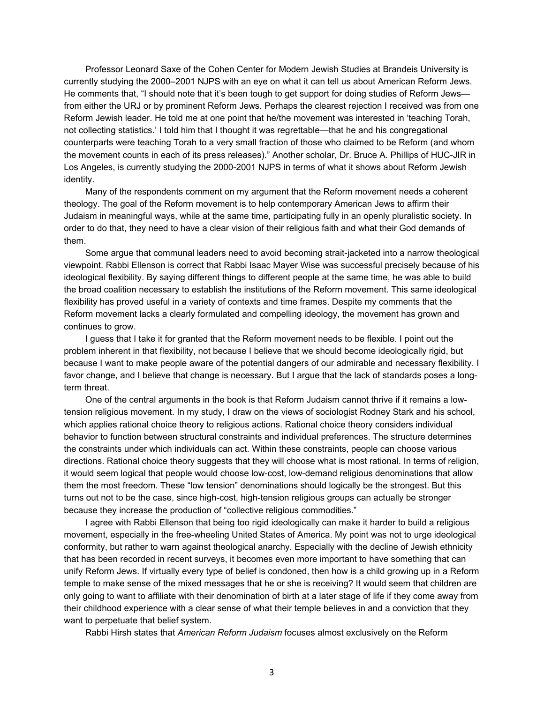Professor Leonard Saxe of the Cohen Center for Modern Jewish Studies at Brandeis University is currently studying the 2000–2001 NJPS with an eye on what it can tell us about American Reform Jews. He comments that, "I should note that it's been tough to get support for doing studies of Reform Jews from either the URJ or by prominent Reform Jews. Perhaps the clearest rejection I received was from one Reform Jewish leader. He told me at one point that he/the movement was interested in 'teaching Torah, not collecting statistics.' I told him that I thought it was regrettable—that he and his congregational counterparts were teaching Torah to a very small fraction of those who claimed to be Reform (and whom the movement counts in each of its press releases)." Another scholar, Dr. Bruce A. Phillips of HUC-JIR in Los Angeles, is currently studying the 2000-2001 NJPS in terms of what it shows about Reform Jewish identity.

Many of the respondents comment on my argument that the Reform movement needs a coherent theology. The goal of the Reform movement is to help contemporary American Jews to affirm their Judaism in meaningful ways, while at the same time, participating fully in an openly pluralistic society. In order to do that, they need to have a clear vision of their religious faith and what their God demands of them.

Some argue that communal leaders need to avoid becoming strait-jacketed into a narrow theological viewpoint. Rabbi Ellenson is correct that Rabbi Isaac Mayer Wise was successful precisely because of his ideological flexibility. By saying different things to different people at the same time, he was able to build the broad coalition necessary to establish the institutions of the Reform movement. This same ideological flexibility has proved useful in a variety of contexts and time frames. Despite my comments that the Reform movement lacks a clearly formulated and compelling ideology, the movement has grown and continues to grow.

I guess that I take it for granted that the Reform movement needs to be flexible. I point out the problem inherent in that flexibility, not because I believe that we should become ideologically rigid, but because I want to make people aware of the potential dangers of our admirable and necessary flexibility. I favor change, and I believe that change is necessary. But I argue that the lack of standards poses a longterm threat.

One of the central arguments in the book is that Reform Judaism cannot thrive if it remains a lowtension religious movement. In my study, I draw on the views of sociologist Rodney Stark and his school, which applies rational choice theory to religious actions. Rational choice theory considers individual behavior to function between structural constraints and individual preferences. The structure determines the constraints under which individuals can act. Within these constraints, people can choose various directions. Rational choice theory suggests that they will choose what is most rational. In terms of religion, it would seem logical that people would choose low-cost, low-demand religious denominations that allow them the most freedom. These "low tension" denominations should logically be the strongest. But this turns out not to be the case, since high-cost, high-tension religious groups can actually be stronger because they increase the production of "collective religious commodities."

I agree with Rabbi Ellenson that being too rigid ideologically can make it harder to build a religious movement, especially in the free-wheeling United States of America. My point was not to urge ideological conformity, but rather to warn against theological anarchy. Especially with the decline of Jewish ethnicity that has been recorded in recent surveys, it becomes even more important to have something that can unify Reform Jews. If virtually every type of belief is condoned, then how is a child growing up in a Reform temple to make sense of the mixed messages that he or she is receiving? It would seem that children are only going to want to affiliate with their denomination of birth at a later stage of life if they come away from their childhood experience with a clear sense of what their temple believes in and a conviction that they want to perpetuate that belief system.

Rabbi Hirsh states that *American Reform Judaism* focuses almost exclusively on the Reform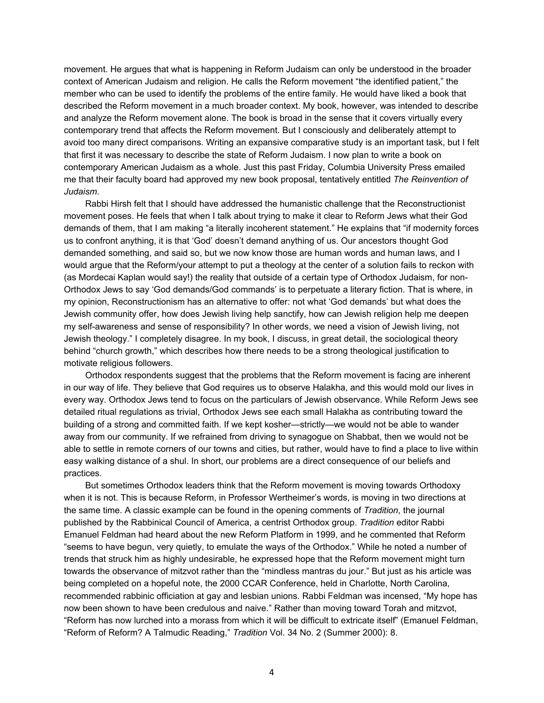movement. He argues that what is happening in Reform Judaism can only be understood in the broader context of American Judaism and religion. He calls the Reform movement "the identified patient," the member who can be used to identify the problems of the entire family. He would have liked a book that described the Reform movement in a much broader context. My book, however, was intended to describe and analyze the Reform movement alone. The book is broad in the sense that it covers virtually every contemporary trend that affects the Reform movement. But I consciously and deliberately attempt to avoid too many direct comparisons. Writing an expansive comparative study is an important task, but I felt that first it was necessary to describe the state of Reform Judaism. I now plan to write a book on contemporary American Judaism as a whole. Just this past Friday, Columbia University Press emailed me that their faculty board had approved my new book proposal, tentatively entitled *The Reinvention of Judaism*.

Rabbi Hirsh felt that I should have addressed the humanistic challenge that the Reconstructionist movement poses. He feels that when I talk about trying to make it clear to Reform Jews what their God demands of them, that I am making "a literally incoherent statement." He explains that "if modernity forces us to confront anything, it is that 'God' doesn't demand anything of us. Our ancestors thought God demanded something, and said so, but we now know those are human words and human laws, and I would argue that the Reform/your attempt to put a theology at the center of a solution fails to reckon with (as Mordecai Kaplan would say!) the reality that outside of a certain type of Orthodox Judaism, for non-Orthodox Jews to say 'God demands/God commands' is to perpetuate a literary fiction. That is where, in my opinion, Reconstructionism has an alternative to offer: not what 'God demands' but what does the Jewish community offer, how does Jewish living help sanctify, how can Jewish religion help me deepen my self-awareness and sense of responsibility? In other words, we need a vision of Jewish living, not Jewish theology." I completely disagree. In my book, I discuss, in great detail, the sociological theory behind "church growth," which describes how there needs to be a strong theological justification to motivate religious followers.

Orthodox respondents suggest that the problems that the Reform movement is facing are inherent in our way of life. They believe that God requires us to observe Halakha, and this would mold our lives in every way. Orthodox Jews tend to focus on the particulars of Jewish observance. While Reform Jews see detailed ritual regulations as trivial, Orthodox Jews see each small Halakha as contributing toward the building of a strong and committed faith. If we kept kosher—strictly—we would not be able to wander away from our community. If we refrained from driving to synagogue on Shabbat, then we would not be able to settle in remote corners of our towns and cities, but rather, would have to find a place to live within easy walking distance of a shul. In short, our problems are a direct consequence of our beliefs and practices.

But sometimes Orthodox leaders think that the Reform movement is moving towards Orthodoxy when it is not. This is because Reform, in Professor Wertheimer's words, is moving in two directions at the same time. A classic example can be found in the opening comments of *Tradition*, the journal published by the Rabbinical Council of America, a centrist Orthodox group. *Tradition* editor Rabbi Emanuel Feldman had heard about the new Reform Platform in 1999, and he commented that Reform "seems to have begun, very quietly, to emulate the ways of the Orthodox." While he noted a number of trends that struck him as highly undesirable, he expressed hope that the Reform movement might turn towards the observance of mitzvot rather than the "mindless mantras du jour." But just as his article was being completed on a hopeful note, the 2000 CCAR Conference, held in Charlotte, North Carolina, recommended rabbinic officiation at gay and lesbian unions. Rabbi Feldman was incensed, "My hope has now been shown to have been credulous and naive." Rather than moving toward Torah and mitzvot, "Reform has now lurched into a morass from which it will be difficult to extricate itself" (Emanuel Feldman, "Reform of Reform? A Talmudic Reading," *Tradition* Vol. 34 No. 2 (Summer 2000): 8.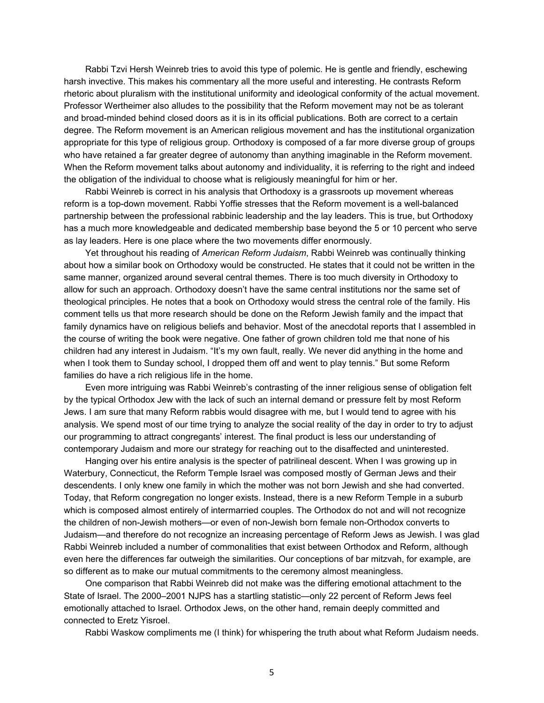Rabbi Tzvi Hersh Weinreb tries to avoid this type of polemic. He is gentle and friendly, eschewing harsh invective. This makes his commentary all the more useful and interesting. He contrasts Reform rhetoric about pluralism with the institutional uniformity and ideological conformity of the actual movement. Professor Wertheimer also alludes to the possibility that the Reform movement may not be as tolerant and broad-minded behind closed doors as it is in its official publications. Both are correct to a certain degree. The Reform movement is an American religious movement and has the institutional organization appropriate for this type of religious group. Orthodoxy is composed of a far more diverse group of groups who have retained a far greater degree of autonomy than anything imaginable in the Reform movement. When the Reform movement talks about autonomy and individuality, it is referring to the right and indeed the obligation of the individual to choose what is religiously meaningful for him or her.

Rabbi Weinreb is correct in his analysis that Orthodoxy is a grassroots up movement whereas reform is a top-down movement. Rabbi Yoffie stresses that the Reform movement is a well-balanced partnership between the professional rabbinic leadership and the lay leaders. This is true, but Orthodoxy has a much more knowledgeable and dedicated membership base beyond the 5 or 10 percent who serve as lay leaders. Here is one place where the two movements differ enormously.

Yet throughout his reading of *American Reform Judaism*, Rabbi Weinreb was continually thinking about how a similar book on Orthodoxy would be constructed. He states that it could not be written in the same manner, organized around several central themes. There is too much diversity in Orthodoxy to allow for such an approach. Orthodoxy doesn't have the same central institutions nor the same set of theological principles. He notes that a book on Orthodoxy would stress the central role of the family. His comment tells us that more research should be done on the Reform Jewish family and the impact that family dynamics have on religious beliefs and behavior. Most of the anecdotal reports that I assembled in the course of writing the book were negative. One father of grown children told me that none of his children had any interest in Judaism. "It's my own fault, really. We never did anything in the home and when I took them to Sunday school, I dropped them off and went to play tennis." But some Reform families do have a rich religious life in the home.

Even more intriguing was Rabbi Weinreb's contrasting of the inner religious sense of obligation felt by the typical Orthodox Jew with the lack of such an internal demand or pressure felt by most Reform Jews. I am sure that many Reform rabbis would disagree with me, but I would tend to agree with his analysis. We spend most of our time trying to analyze the social reality of the day in order to try to adjust our programming to attract congregants' interest. The final product is less our understanding of contemporary Judaism and more our strategy for reaching out to the disaffected and uninterested.

Hanging over his entire analysis is the specter of patrilineal descent. When I was growing up in Waterbury, Connecticut, the Reform Temple Israel was composed mostly of German Jews and their descendents. I only knew one family in which the mother was not born Jewish and she had converted. Today, that Reform congregation no longer exists. Instead, there is a new Reform Temple in a suburb which is composed almost entirely of intermarried couples. The Orthodox do not and will not recognize the children of non-Jewish mothers—or even of non-Jewish born female non-Orthodox converts to Judaism—and therefore do not recognize an increasing percentage of Reform Jews as Jewish. I was glad Rabbi Weinreb included a number of commonalities that exist between Orthodox and Reform, although even here the differences far outweigh the similarities. Our conceptions of bar mitzvah, for example, are so different as to make our mutual commitments to the ceremony almost meaningless.

One comparison that Rabbi Weinreb did not make was the differing emotional attachment to the State of Israel. The 2000–2001 NJPS has a startling statistic—only 22 percent of Reform Jews feel emotionally attached to Israel. Orthodox Jews, on the other hand, remain deeply committed and connected to Eretz Yisroel.

Rabbi Waskow compliments me (I think) for whispering the truth about what Reform Judaism needs.